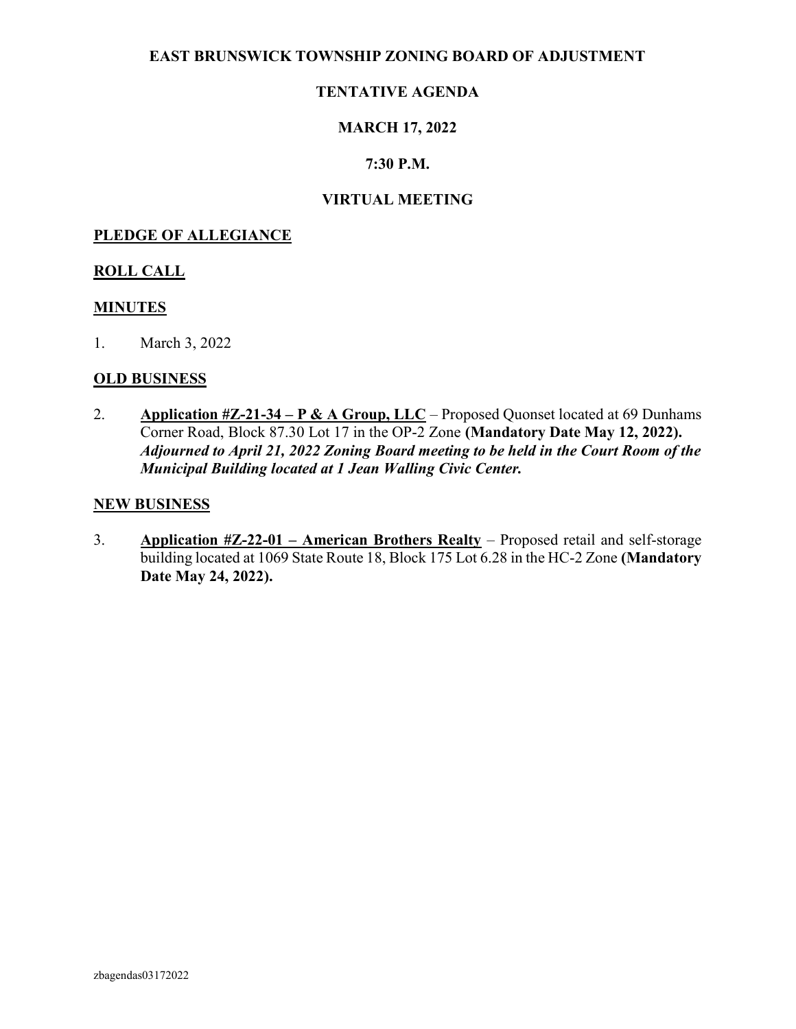#### EAST BRUNSWICK TOWNSHIP ZONING BOARD OF ADJUSTMENT

### TENTATIVE AGENDA

### MARCH 17, 2022

#### 7:30 P.M.

#### VIRTUAL MEETING

#### PLEDGE OF ALLEGIANCE

#### ROLL CALL

#### MINUTES

1. March 3, 2022

#### OLD BUSINESS

2. Application  $\#Z-21-34-P \& A Group, LLC-Proposed Quonset located at 69 Dunhams$ Corner Road, Block 87.30 Lot 17 in the OP-2 Zone (Mandatory Date May 12, 2022). Adjourned to April 21, 2022 Zoning Board meeting to be held in the Court Room of the Municipal Building located at 1 Jean Walling Civic Center.

#### NEW BUSINESS

3. Application #Z-22-01 – American Brothers Realty – Proposed retail and self-storage building located at 1069 State Route 18, Block 175 Lot 6.28 in the HC-2 Zone (Mandatory Date May 24, 2022).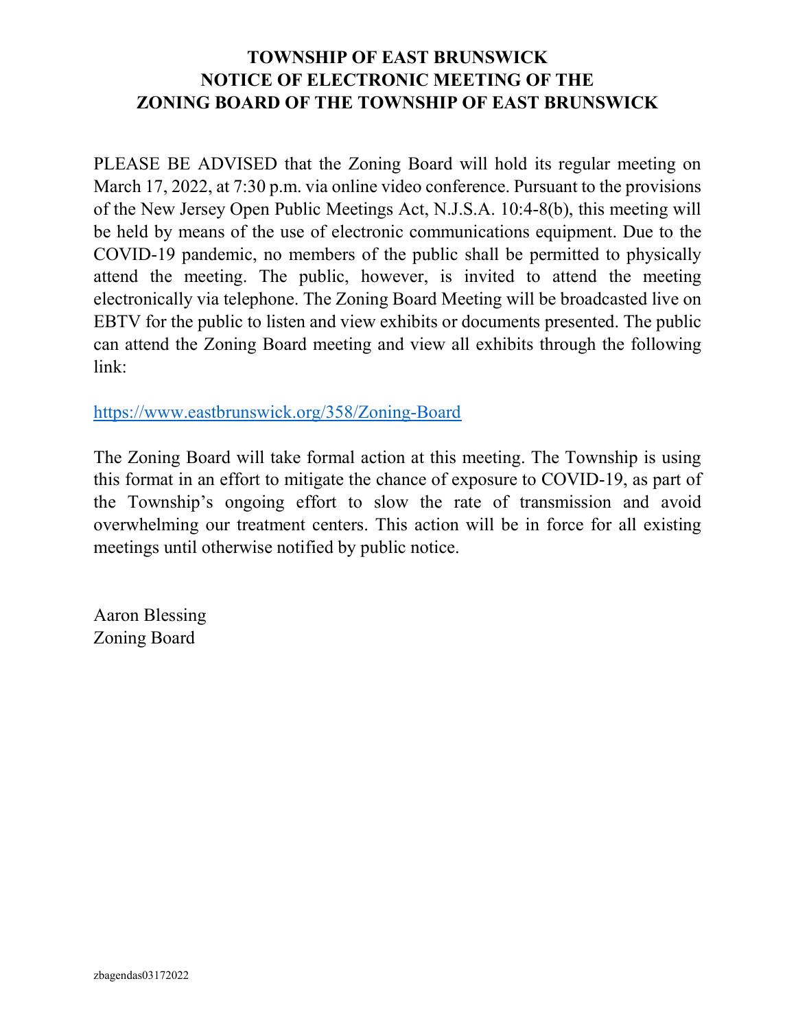## TOWNSHIP OF EAST BRUNSWICK NOTICE OF ELECTRONIC MEETING OF THE ZONING BOARD OF THE TOWNSHIP OF EAST BRUNSWICK

PLEASE BE ADVISED that the Zoning Board will hold its regular meeting on March 17, 2022, at 7:30 p.m. via online video conference. Pursuant to the provisions of the New Jersey Open Public Meetings Act, N.J.S.A. 10:4-8(b), this meeting will be held by means of the use of electronic communications equipment. Due to the COVID-19 pandemic, no members of the public shall be permitted to physically attend the meeting. The public, however, is invited to attend the meeting electronically via telephone. The Zoning Board Meeting will be broadcasted live on EBTV for the public to listen and view exhibits or documents presented. The public can attend the Zoning Board meeting and view all exhibits through the following link:

https://www.eastbrunswick.org/358/Zoning-Board

The Zoning Board will take formal action at this meeting. The Township is using this format in an effort to mitigate the chance of exposure to COVID-19, as part of the Township's ongoing effort to slow the rate of transmission and avoid overwhelming our treatment centers. This action will be in force for all existing meetings until otherwise notified by public notice.

Aaron Blessing Zoning Board